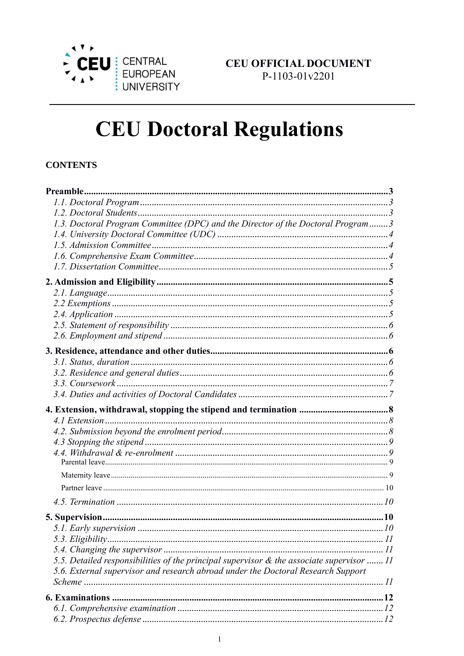

# **CEU Doctoral Regulations**

### **CONTENTS**

| 1.3. Doctoral Program Committee (DPC) and the Director of the Doctoral Program3           |  |
|-------------------------------------------------------------------------------------------|--|
|                                                                                           |  |
|                                                                                           |  |
|                                                                                           |  |
|                                                                                           |  |
|                                                                                           |  |
|                                                                                           |  |
|                                                                                           |  |
|                                                                                           |  |
|                                                                                           |  |
|                                                                                           |  |
|                                                                                           |  |
|                                                                                           |  |
|                                                                                           |  |
|                                                                                           |  |
|                                                                                           |  |
|                                                                                           |  |
|                                                                                           |  |
|                                                                                           |  |
|                                                                                           |  |
|                                                                                           |  |
|                                                                                           |  |
|                                                                                           |  |
|                                                                                           |  |
|                                                                                           |  |
|                                                                                           |  |
|                                                                                           |  |
|                                                                                           |  |
|                                                                                           |  |
|                                                                                           |  |
| 5.5. Detailed responsibilities of the principal supervisor & the associate supervisor  11 |  |
| 5.6. External supervisor and research abroad under the Doctoral Research Support          |  |
|                                                                                           |  |
|                                                                                           |  |
|                                                                                           |  |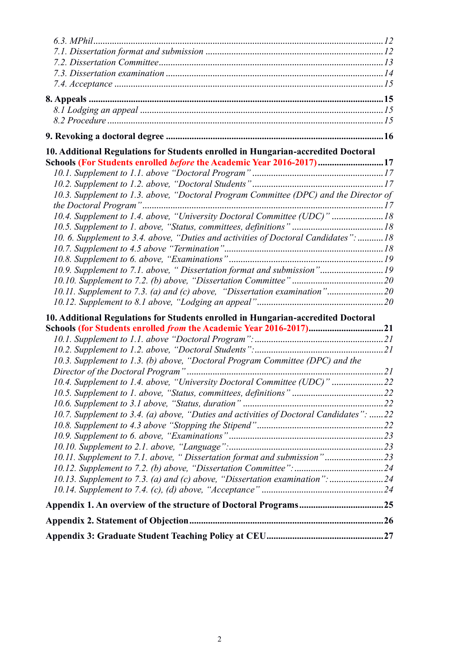| 10.13. Supplement to 7.3. (a) and (c) above, "Dissertation examination": 24            |  |
|----------------------------------------------------------------------------------------|--|
|                                                                                        |  |
| 10.11. Supplement to 7.1. above, "Dissertation format and submission"23                |  |
|                                                                                        |  |
|                                                                                        |  |
|                                                                                        |  |
| 10.7. Supplement to 3.4. (a) above, "Duties and activities of Doctoral Candidates": 22 |  |
|                                                                                        |  |
|                                                                                        |  |
| 10.4. Supplement to 1.4. above, "University Doctoral Committee (UDC)" 22               |  |
|                                                                                        |  |
| 10.3. Supplement to 1.3. (b) above, "Doctoral Program Committee (DPC) and the          |  |
|                                                                                        |  |
|                                                                                        |  |
| Schools (for Students enrolled <i>from</i> the Academic Year 2016-2017)21              |  |
| 10. Additional Regulations for Students enrolled in Hungarian-accredited Doctoral      |  |
|                                                                                        |  |
|                                                                                        |  |
| 10.11. Supplement to 7.3. (a) and (c) above, "Dissertation examination"20              |  |
| 10.9. Supplement to 7.1. above, "Dissertation format and submission"19                 |  |
|                                                                                        |  |
|                                                                                        |  |
| 10. 6. Supplement to 3.4. above, "Duties and activities of Doctoral Candidates":  18   |  |
|                                                                                        |  |
|                                                                                        |  |
| 10.4. Supplement to 1.4. above, "University Doctoral Committee (UDC)"  18              |  |
| 10.3. Supplement to 1.3. above, "Doctoral Program Committee (DPC) and the Director of  |  |
|                                                                                        |  |
|                                                                                        |  |
| Schools (For Students enrolled <i>before</i> the Academic Year 2016-2017)17            |  |
| 10. Additional Regulations for Students enrolled in Hungarian-accredited Doctoral      |  |
|                                                                                        |  |
|                                                                                        |  |
|                                                                                        |  |
|                                                                                        |  |
|                                                                                        |  |
|                                                                                        |  |
|                                                                                        |  |
|                                                                                        |  |
|                                                                                        |  |
|                                                                                        |  |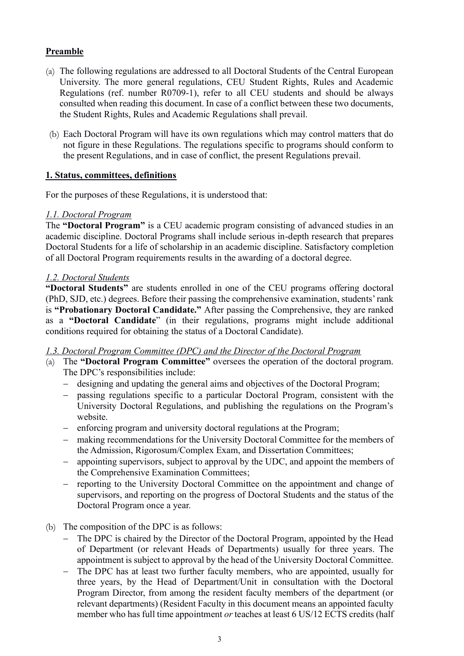# <span id="page-2-0"></span>**Preamble**

- (a) The following regulations are addressed to all Doctoral Students of the Central European University. The more general regulations, CEU Student Rights, Rules and Academic Regulations (ref. number R0709-1), refer to all CEU students and should be always consulted when reading this document. In case of a conflict between these two documents, the Student Rights, Rules and Academic Regulations shall prevail.
- (b) Each Doctoral Program will have its own regulations which may control matters that do not figure in these Regulations. The regulations specific to programs should conform to the present Regulations, and in case of conflict, the present Regulations prevail.

#### **1. Status, committees, definitions**

For the purposes of these Regulations, it is understood that:

# <span id="page-2-1"></span>*1.1. Doctoral Program*

The **"Doctoral Program"** is a CEU academic program consisting of advanced studies in an academic discipline. Doctoral Programs shall include serious in-depth research that prepares Doctoral Students for a life of scholarship in an academic discipline. Satisfactory completion of all Doctoral Program requirements results in the awarding of a doctoral degree.

# <span id="page-2-2"></span>*1.2. Doctoral Students*

**"Doctoral Students"** are students enrolled in one of the CEU programs offering doctoral (PhD, SJD, etc.) degrees. Before their passing the comprehensive examination, students' rank is **"Probationary Doctoral Candidate."** After passing the Comprehensive, they are ranked as a **"Doctoral Candidate**" (in their regulations, programs might include additional conditions required for obtaining the status of a Doctoral Candidate).

#### <span id="page-2-3"></span>*1.3. Doctoral Program Committee (DPC) and the Director of the Doctoral Program*

- (a) The **"Doctoral Program Committee"** oversees the operation of the doctoral program. The DPC's responsibilities include:
	- − designing and updating the general aims and objectives of the Doctoral Program;
	- − passing regulations specific to a particular Doctoral Program, consistent with the University Doctoral Regulations, and publishing the regulations on the Program's website.
	- − enforcing program and university doctoral regulations at the Program;
	- − making recommendations for the University Doctoral Committee for the members of the Admission, Rigorosum/Complex Exam, and Dissertation Committees;
	- appointing supervisors, subject to approval by the UDC, and appoint the members of the Comprehensive Examination Committees;
	- − reporting to the University Doctoral Committee on the appointment and change of supervisors, and reporting on the progress of Doctoral Students and the status of the Doctoral Program once a year.
- (b) The composition of the DPC is as follows:
	- − The DPC is chaired by the Director of the Doctoral Program, appointed by the Head of Department (or relevant Heads of Departments) usually for three years. The appointment is subject to approval by the head of the University Doctoral Committee.
	- − The DPC has at least two further faculty members, who are appointed, usually for three years, by the Head of Department/Unit in consultation with the Doctoral Program Director, from among the resident faculty members of the department (or relevant departments) (Resident Faculty in this document means an appointed faculty member who has full time appointment *or* teaches at least 6 US/12 ECTS credits (half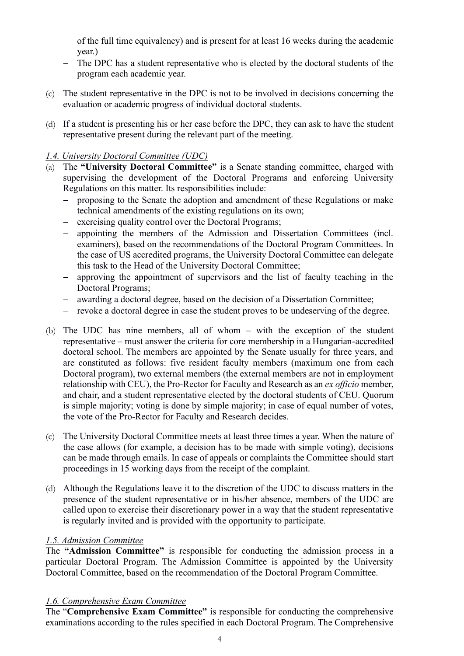of the full time equivalency) and is present for at least 16 weeks during the academic year.)

- − The DPC has a student representative who is elected by the doctoral students of the program each academic year.
- (c) The student representative in the DPC is not to be involved in decisions concerning the evaluation or academic progress of individual doctoral students.
- (d) If a student is presenting his or her case before the DPC, they can ask to have the student representative present during the relevant part of the meeting.

# <span id="page-3-0"></span>*1.4. University Doctoral Committee (UDC)*

- (a) The **"University Doctoral Committee"** is a Senate standing committee, charged with supervising the development of the Doctoral Programs and enforcing University Regulations on this matter. Its responsibilities include:
	- proposing to the Senate the adoption and amendment of these Regulations or make technical amendments of the existing regulations on its own;
	- − exercising quality control over the Doctoral Programs;
	- − appointing the members of the Admission and Dissertation Committees (incl. examiners), based on the recommendations of the Doctoral Program Committees. In the case of US accredited programs, the University Doctoral Committee can delegate this task to the Head of the University Doctoral Committee;
	- − approving the appointment of supervisors and the list of faculty teaching in the Doctoral Programs;
	- − awarding a doctoral degree, based on the decision of a Dissertation Committee;
	- − revoke a doctoral degree in case the student proves to be undeserving of the degree.
- (b) The UDC has nine members, all of whom with the exception of the student representative – must answer the criteria for core membership in a Hungarian-accredited doctoral school. The members are appointed by the Senate usually for three years, and are constituted as follows: five resident faculty members (maximum one from each Doctoral program), two external members (the external members are not in employment relationship with CEU), the Pro-Rector for Faculty and Research as an *ex officio* member, and chair, and a student representative elected by the doctoral students of CEU. Quorum is simple majority; voting is done by simple majority; in case of equal number of votes, the vote of the Pro-Rector for Faculty and Research decides.
- (c) The University Doctoral Committee meets at least three times a year. When the nature of the case allows (for example, a decision has to be made with simple voting), decisions can be made through emails. In case of appeals or complaints the Committee should start proceedings in 15 working days from the receipt of the complaint.
- (d) Although the Regulations leave it to the discretion of the UDC to discuss matters in the presence of the student representative or in his/her absence, members of the UDC are called upon to exercise their discretionary power in a way that the student representative is regularly invited and is provided with the opportunity to participate.

#### <span id="page-3-1"></span>*1.5. Admission Committee*

The **"Admission Committee"** is responsible for conducting the admission process in a particular Doctoral Program. The Admission Committee is appointed by the University Doctoral Committee, based on the recommendation of the Doctoral Program Committee.

#### <span id="page-3-2"></span>*1.6. Comprehensive Exam Committee*

The "**Comprehensive Exam Committee"** is responsible for conducting the comprehensive examinations according to the rules specified in each Doctoral Program. The Comprehensive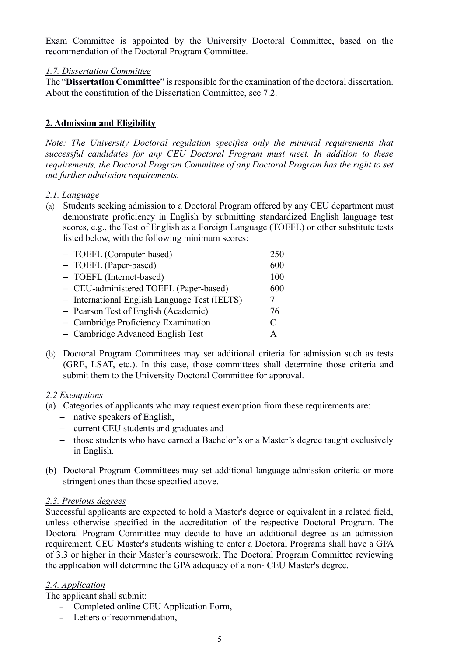Exam Committee is appointed by the University Doctoral Committee, based on the recommendation of the Doctoral Program Committee.

#### <span id="page-4-0"></span>*1.7. Dissertation Committee*

The "**Dissertation Committee**" is responsible for the examination of the doctoral dissertation. About the constitution of the Dissertation Committee, see 7.2.

#### <span id="page-4-1"></span>**2. Admission and Eligibility**

*Note: The University Doctoral regulation specifies only the minimal requirements that successful candidates for any CEU Doctoral Program must meet. In addition to these requirements, the Doctoral Program Committee of any Doctoral Program has the right to set out further admission requirements.*

#### <span id="page-4-2"></span>*2.1. Language*

(a) Students seeking admission to a Doctoral Program offered by any CEU department must demonstrate proficiency in English by submitting standardized English language test scores, e.g., the Test of English as a Foreign Language (TOEFL) or other substitute tests listed below, with the following minimum scores:

| - TOEFL (Computer-based)                      | 250       |
|-----------------------------------------------|-----------|
| - TOEFL (Paper-based)                         | 600       |
| - TOEFL (Internet-based)                      | 100       |
| - CEU-administered TOEFL (Paper-based)        | 600       |
| - International English Language Test (IELTS) |           |
| - Pearson Test of English (Academic)          | 76        |
| - Cambridge Proficiency Examination           | $\subset$ |
| - Cambridge Advanced English Test             | A         |

(b) Doctoral Program Committees may set additional criteria for admission such as tests (GRE, LSAT, etc.). In this case, those committees shall determine those criteria and submit them to the University Doctoral Committee for approval.

#### <span id="page-4-3"></span>*2.2 Exemptions*

- (a) Categories of applicants who may request exemption from these requirements are:
	- − native speakers of English,
	- − current CEU students and graduates and
	- − those students who have earned a Bachelor's or a Master's degree taught exclusively in English.
- (b) Doctoral Program Committees may set additional language admission criteria or more stringent ones than those specified above.

#### *2.3. Previous degrees*

Successful applicants are expected to hold a Master's degree or equivalent in a related field, unless otherwise specified in the accreditation of the respective Doctoral Program. The Doctoral Program Committee may decide to have an additional degree as an admission requirement. CEU Master's students wishing to enter a Doctoral Programs shall have a GPA of 3.3 or higher in their Master's coursework. The Doctoral Program Committee reviewing the application will determine the GPA adequacy of a non- CEU Master's degree.

#### <span id="page-4-4"></span>*2.4. Application*

The applicant shall submit:

- − Completed online CEU Application Form,
- − Letters of recommendation,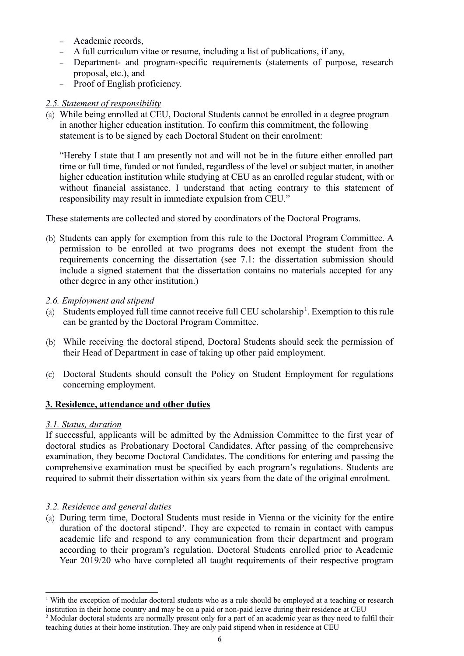- − Academic records,
- − A full curriculum vitae or resume, including a list of publications, if any,
- − Department- and program-specific requirements (statements of purpose, research proposal, etc.), and
- − Proof of English proficiency.

# <span id="page-5-0"></span>*2.5. Statement of responsibility*

(a) While being enrolled at CEU, Doctoral Students cannot be enrolled in a degree program in another higher education institution. To confirm this commitment, the following statement is to be signed by each Doctoral Student on their enrolment:

"Hereby I state that I am presently not and will not be in the future either enrolled part time or full time, funded or not funded, regardless of the level or subject matter, in another higher education institution while studying at CEU as an enrolled regular student, with or without financial assistance. I understand that acting contrary to this statement of responsibility may result in immediate expulsion from CEU."

These statements are collected and stored by coordinators of the Doctoral Programs.

(b) Students can apply for exemption from this rule to the Doctoral Program Committee. A permission to be enrolled at two programs does not exempt the student from the requirements concerning the dissertation (see 7.1: the dissertation submission should include a signed statement that the dissertation contains no materials accepted for any other degree in any other institution.)

# <span id="page-5-1"></span>*2.6. Employment and stipend*

- (a) Students employed full time cannot receive full CEU scholarship<sup>1</sup>. Exemption to this rule can be granted by the Doctoral Program Committee.
- (b) While receiving the doctoral stipend, Doctoral Students should seek the permission of their Head of Department in case of taking up other paid employment.
- (c) Doctoral Students should consult the Policy on Student Employment for regulations concerning employment.

# <span id="page-5-2"></span>**3. Residence, attendance and other duties**

# <span id="page-5-3"></span>*3.1. Status, duration*

If successful, applicants will be admitted by the Admission Committee to the first year of doctoral studies as Probationary Doctoral Candidates. After passing of the comprehensive examination, they become Doctoral Candidates. The conditions for entering and passing the comprehensive examination must be specified by each program's regulations. Students are required to submit their dissertation within six years from the date of the original enrolment.

# <span id="page-5-4"></span>*3.2. Residence and general duties*

(a) During term time, Doctoral Students must reside in Vienna or the vicinity for the entire duration of the doctoral stipend<sup>2</sup>. They are expected to remain in contact with campus academic life and respond to any communication from their department and program according to their program's regulation. Doctoral Students enrolled prior to Academic Year 2019/20 who have completed all taught requirements of their respective program

<sup>&</sup>lt;sup>1</sup> With the exception of modular doctoral students who as a rule should be employed at a teaching or research institution in their home country and may be on a paid or non-paid leave during their residence at CEU

<sup>&</sup>lt;sup>2</sup> Modular doctoral students are normally present only for a part of an academic year as they need to fulfil their teaching duties at their home institution. They are only paid stipend when in residence at CEU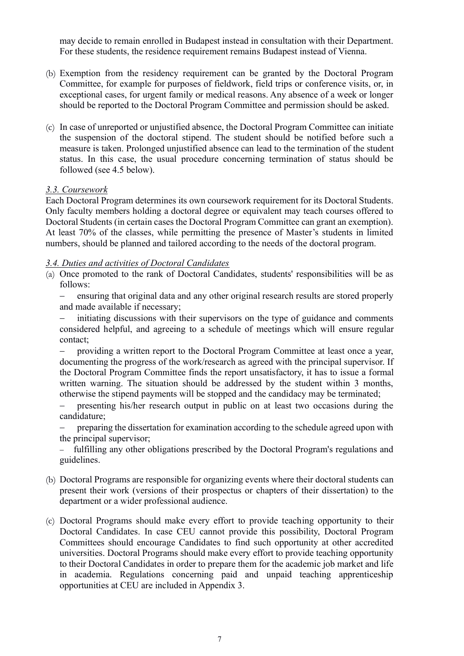may decide to remain enrolled in Budapest instead in consultation with their Department. For these students, the residence requirement remains Budapest instead of Vienna.

- (b) Exemption from the residency requirement can be granted by the Doctoral Program Committee, for example for purposes of fieldwork, field trips or conference visits, or, in exceptional cases, for urgent family or medical reasons. Any absence of a week or longer should be reported to the Doctoral Program Committee and permission should be asked.
- (c) In case of unreported or unjustified absence, the Doctoral Program Committee can initiate the suspension of the doctoral stipend. The student should be notified before such a measure is taken. Prolonged unjustified absence can lead to the termination of the student status. In this case, the usual procedure concerning termination of status should be followed (see 4.5 below).

#### <span id="page-6-0"></span>*3.3. Coursework*

Each Doctoral Program determines its own coursework requirement for its Doctoral Students. Only faculty members holding a doctoral degree or equivalent may teach courses offered to Doctoral Students (in certain cases the Doctoral Program Committee can grant an exemption). At least 70% of the classes, while permitting the presence of Master's students in limited numbers, should be planned and tailored according to the needs of the doctoral program.

#### <span id="page-6-1"></span>*3.4. Duties and activities of Doctoral Candidates*

- (a) Once promoted to the rank of Doctoral Candidates, students' responsibilities will be as follows:
	- ensuring that original data and any other original research results are stored properly and made available if necessary;
	- initiating discussions with their supervisors on the type of guidance and comments considered helpful, and agreeing to a schedule of meetings which will ensure regular contact;
	- providing a written report to the Doctoral Program Committee at least once a year, documenting the progress of the work/research as agreed with the principal supervisor. If the Doctoral Program Committee finds the report unsatisfactory, it has to issue a formal written warning. The situation should be addressed by the student within 3 months, otherwise the stipend payments will be stopped and the candidacy may be terminated;
	- − presenting his/her research output in public on at least two occasions during the candidature;
	- preparing the dissertation for examination according to the schedule agreed upon with the principal supervisor;
	- − fulfilling any other obligations prescribed by the Doctoral Program's regulations and guidelines.
- (b) Doctoral Programs are responsible for organizing events where their doctoral students can present their work (versions of their prospectus or chapters of their dissertation) to the department or a wider professional audience.
- (c) Doctoral Programs should make every effort to provide teaching opportunity to their Doctoral Candidates. In case CEU cannot provide this possibility, Doctoral Program Committees should encourage Candidates to find such opportunity at other accredited universities. Doctoral Programs should make every effort to provide teaching opportunity to their Doctoral Candidates in order to prepare them for the academic job market and life in academia. Regulations concerning paid and unpaid teaching apprenticeship opportunities at CEU are included in Appendix 3.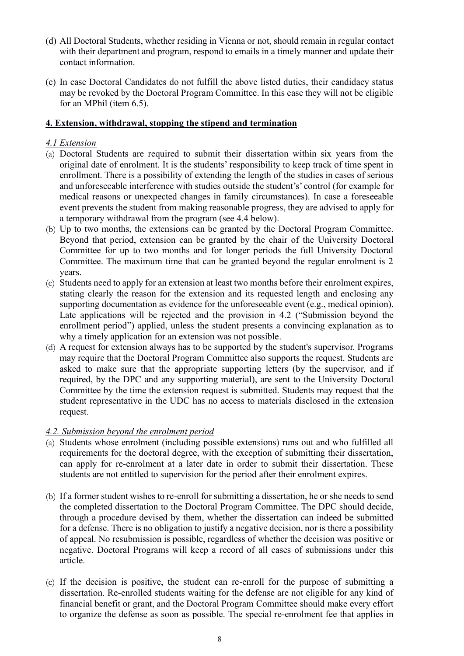- (d) All Doctoral Students, whether residing in Vienna or not, should remain in regular contact with their department and program, respond to emails in a timely manner and update their contact information.
- (e) In case Doctoral Candidates do not fulfill the above listed duties, their candidacy status may be revoked by the Doctoral Program Committee. In this case they will not be eligible for an MPhil (item 6.5).

#### <span id="page-7-0"></span>**4. Extension, withdrawal, stopping the stipend and termination**

#### <span id="page-7-1"></span>*4.1 Extension*

- (a) Doctoral Students are required to submit their dissertation within six years from the original date of enrolment. It is the students' responsibility to keep track of time spent in enrollment. There is a possibility of extending the length of the studies in cases of serious and unforeseeable interference with studies outside the student's' control (for example for medical reasons or unexpected changes in family circumstances). In case a foreseeable event prevents the student from making reasonable progress, they are advised to apply for a temporary withdrawal from the program (see 4.4 below).
- (b) Up to two months, the extensions can be granted by the Doctoral Program Committee. Beyond that period, extension can be granted by the chair of the University Doctoral Committee for up to two months and for longer periods the full University Doctoral Committee. The maximum time that can be granted beyond the regular enrolment is 2 years.
- (c) Students need to apply for an extension at least two months before their enrolment expires, stating clearly the reason for the extension and its requested length and enclosing any supporting documentation as evidence for the unforeseeable event (e.g., medical opinion). Late applications will be rejected and the provision in 4.2 ("Submission beyond the enrollment period") applied, unless the student presents a convincing explanation as to why a timely application for an extension was not possible.
- (d) A request for extension always has to be supported by the student's supervisor. Programs may require that the Doctoral Program Committee also supports the request. Students are asked to make sure that the appropriate supporting letters (by the supervisor, and if required, by the DPC and any supporting material), are sent to the University Doctoral Committee by the time the extension request is submitted. Students may request that the student representative in the UDC has no access to materials disclosed in the extension request.

#### <span id="page-7-2"></span>*4.2. Submission beyond the enrolment period*

- (a) Students whose enrolment (including possible extensions) runs out and who fulfilled all requirements for the doctoral degree, with the exception of submitting their dissertation, can apply for re-enrolment at a later date in order to submit their dissertation. These students are not entitled to supervision for the period after their enrolment expires.
- (b) If a former student wishes to re-enroll for submitting a dissertation, he or she needs to send the completed dissertation to the Doctoral Program Committee. The DPC should decide, through a procedure devised by them, whether the dissertation can indeed be submitted for a defense. There is no obligation to justify a negative decision, nor is there a possibility of appeal. No resubmission is possible, regardless of whether the decision was positive or negative. Doctoral Programs will keep a record of all cases of submissions under this article.
- (c) If the decision is positive, the student can re-enroll for the purpose of submitting a dissertation. Re-enrolled students waiting for the defense are not eligible for any kind of financial benefit or grant, and the Doctoral Program Committee should make every effort to organize the defense as soon as possible. The special re-enrolment fee that applies in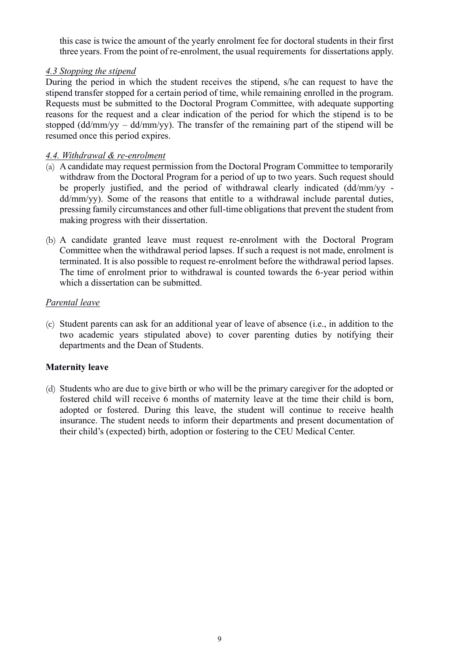this case is twice the amount of the yearly enrolment fee for doctoral students in their first three years. From the point of re-enrolment, the usual requirements for dissertations apply.

#### <span id="page-8-0"></span>*4.3 Stopping the stipend*

During the period in which the student receives the stipend, s/he can request to have the stipend transfer stopped for a certain period of time, while remaining enrolled in the program. Requests must be submitted to the Doctoral Program Committee, with adequate supporting reasons for the request and a clear indication of the period for which the stipend is to be stopped (dd/mm/yy – dd/mm/yy). The transfer of the remaining part of the stipend will be resumed once this period expires.

#### <span id="page-8-1"></span>*4.4. Withdrawal & re-enrolment*

- (a) A candidate may request permission from the Doctoral Program Committee to temporarily withdraw from the Doctoral Program for a period of up to two years. Such request should be properly justified, and the period of withdrawal clearly indicated (dd/mm/yy dd/mm/yy). Some of the reasons that entitle to a withdrawal include parental duties, pressing family circumstances and other full-time obligations that prevent the student from making progress with their dissertation.
- (b) A candidate granted leave must request re-enrolment with the Doctoral Program Committee when the withdrawal period lapses. If such a request is not made, enrolment is terminated. It is also possible to request re-enrolment before the withdrawal period lapses. The time of enrolment prior to withdrawal is counted towards the 6-year period within which a dissertation can be submitted.

#### <span id="page-8-2"></span>*Parental leave*

(c) Student parents can ask for an additional year of leave of absence (i.e., in addition to the two academic years stipulated above) to cover parenting duties by notifying their departments and the Dean of Students.

#### <span id="page-8-3"></span>**Maternity leave**

(d) Students who are due to give birth or who will be the primary caregiver for the adopted or fostered child will receive 6 months of maternity leave at the time their child is born, adopted or fostered. During this leave, the student will continue to receive health insurance. The student needs to inform their departments and present documentation of their child's (expected) birth, adoption or fostering to the CEU Medical Center.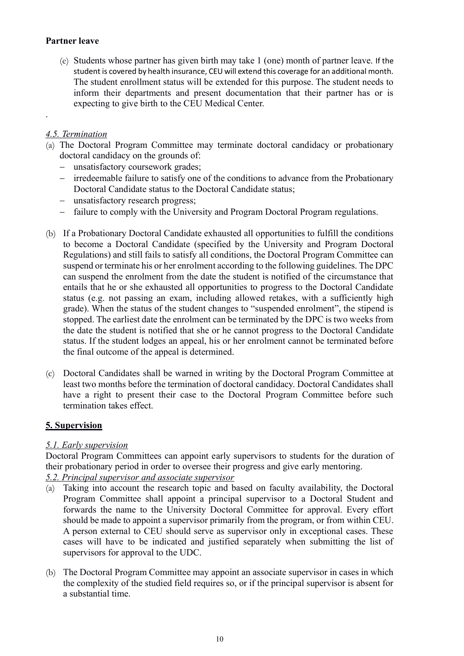#### <span id="page-9-0"></span>**Partner leave**

(e) Students whose partner has given birth may take 1 (one) month of partner leave. If the student is covered by health insurance, CEU will extend this coverage for an additional month. The student enrollment status will be extended for this purpose. The student needs to inform their departments and present documentation that their partner has or is expecting to give birth to the CEU Medical Center.

#### <span id="page-9-1"></span>*4.5. Termination*

.

- (a) The Doctoral Program Committee may terminate doctoral candidacy or probationary doctoral candidacy on the grounds of:
	- − unsatisfactory coursework grades;
	- − irredeemable failure to satisfy one of the conditions to advance from the Probationary Doctoral Candidate status to the Doctoral Candidate status;
	- − unsatisfactory research progress;
	- − failure to comply with the University and Program Doctoral Program regulations.
- (b) If a Probationary Doctoral Candidate exhausted all opportunities to fulfill the conditions to become a Doctoral Candidate (specified by the University and Program Doctoral Regulations) and still fails to satisfy all conditions, the Doctoral Program Committee can suspend or terminate his or her enrolment according to the following guidelines. The DPC can suspend the enrolment from the date the student is notified of the circumstance that entails that he or she exhausted all opportunities to progress to the Doctoral Candidate status (e.g. not passing an exam, including allowed retakes, with a sufficiently high grade). When the status of the student changes to "suspended enrolment", the stipend is stopped. The earliest date the enrolment can be terminated by the DPC is two weeks from the date the student is notified that she or he cannot progress to the Doctoral Candidate status. If the student lodges an appeal, his or her enrolment cannot be terminated before the final outcome of the appeal is determined.
- (c) Doctoral Candidates shall be warned in writing by the Doctoral Program Committee at least two months before the termination of doctoral candidacy. Doctoral Candidates shall have a right to present their case to the Doctoral Program Committee before such termination takes effect.

#### <span id="page-9-2"></span>**5. Supervision**

#### <span id="page-9-3"></span>*5.1. Early supervision*

Doctoral Program Committees can appoint early supervisors to students for the duration of their probationary period in order to oversee their progress and give early mentoring.

#### *5.2. Principal supervisor and associate supervisor*

- (a) Taking into account the research topic and based on faculty availability, the Doctoral Program Committee shall appoint a principal supervisor to a Doctoral Student and forwards the name to the University Doctoral Committee for approval. Every effort should be made to appoint a supervisor primarily from the program, or from within CEU. A person external to CEU should serve as supervisor only in exceptional cases. These cases will have to be indicated and justified separately when submitting the list of supervisors for approval to the UDC.
- (b) The Doctoral Program Committee may appoint an associate supervisor in cases in which the complexity of the studied field requires so, or if the principal supervisor is absent for a substantial time.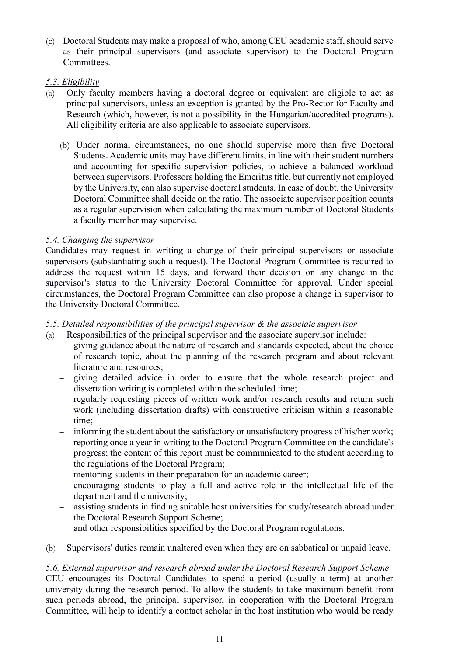(c) Doctoral Students may make a proposal of who, among CEU academic staff, should serve as their principal supervisors (and associate supervisor) to the Doctoral Program Committees.

# <span id="page-10-0"></span>*5.3. Eligibility*

- (a) Only faculty members having a doctoral degree or equivalent are eligible to act as principal supervisors, unless an exception is granted by the Pro-Rector for Faculty and Research (which, however, is not a possibility in the Hungarian/accredited programs). All eligibility criteria are also applicable to associate supervisors.
	- (b) Under normal circumstances, no one should supervise more than five Doctoral Students. Academic units may have different limits, in line with their student numbers and accounting for specific supervision policies, to achieve a balanced workload between supervisors. Professors holding the Emeritus title, but currently not employed by the University, can also supervise doctoral students. In case of doubt, the University Doctoral Committee shall decide on the ratio. The associate supervisor position counts as a regular supervision when calculating the maximum number of Doctoral Students a faculty member may supervise.

#### <span id="page-10-1"></span>*5.4. Changing the supervisor*

Candidates may request in writing a change of their principal supervisors or associate supervisors (substantiating such a request). The Doctoral Program Committee is required to address the request within 15 days, and forward their decision on any change in the supervisor's status to the University Doctoral Committee for approval. Under special circumstances, the Doctoral Program Committee can also propose a change in supervisor to the University Doctoral Committee.

# <span id="page-10-2"></span>*5.5. Detailed responsibilities of the principal supervisor & the associate supervisor*

- (a) Responsibilities of the principal supervisor and the associate supervisor include:
	- − giving guidance about the nature of research and standards expected, about the choice of research topic, about the planning of the research program and about relevant literature and resources;
	- − giving detailed advice in order to ensure that the whole research project and dissertation writing is completed within the scheduled time;
	- − regularly requesting pieces of written work and/or research results and return such work (including dissertation drafts) with constructive criticism within a reasonable time;
	- − informing the student about the satisfactory or unsatisfactory progress of his/her work;
	- − reporting once a year in writing to the Doctoral Program Committee on the candidate's progress; the content of this report must be communicated to the student according to the regulations of the Doctoral Program;
	- mentoring students in their preparation for an academic career;
	- encouraging students to play a full and active role in the intellectual life of the department and the university;
	- − assisting students in finding suitable host universities for study/research abroad under the Doctoral Research Support Scheme;
	- and other responsibilities specified by the Doctoral Program regulations.
- (b) Supervisors' duties remain unaltered even when they are on sabbatical or unpaid leave.

#### <span id="page-10-3"></span>*5.6. External supervisor and research abroad under the Doctoral Research Support Scheme*

CEU encourages its Doctoral Candidates to spend a period (usually a term) at another university during the research period. To allow the students to take maximum benefit from such periods abroad, the principal supervisor, in cooperation with the Doctoral Program Committee, will help to identify a contact scholar in the host institution who would be ready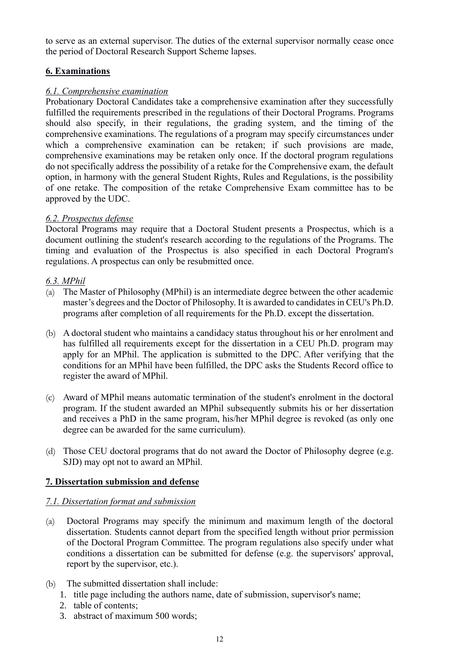to serve as an external supervisor. The duties of the external supervisor normally cease once the period of Doctoral Research Support Scheme lapses.

# <span id="page-11-0"></span>**6. Examinations**

#### <span id="page-11-1"></span>*6.1. Comprehensive examination*

Probationary Doctoral Candidates take a comprehensive examination after they successfully fulfilled the requirements prescribed in the regulations of their Doctoral Programs. Programs should also specify, in their regulations, the grading system, and the timing of the comprehensive examinations. The regulations of a program may specify circumstances under which a comprehensive examination can be retaken; if such provisions are made, comprehensive examinations may be retaken only once. If the doctoral program regulations do not specifically address the possibility of a retake for the Comprehensive exam, the default option, in harmony with the general Student Rights, Rules and Regulations, is the possibility of one retake. The composition of the retake Comprehensive Exam committee has to be approved by the UDC.

#### <span id="page-11-2"></span>*6.2. Prospectus defense*

Doctoral Programs may require that a Doctoral Student presents a Prospectus, which is a document outlining the student's research according to the regulations of the Programs. The timing and evaluation of the Prospectus is also specified in each Doctoral Program's regulations. A prospectus can only be resubmitted once.

#### <span id="page-11-3"></span>*6.3. MPhil*

- (a) The Master of Philosophy (MPhil) is an intermediate degree between the other academic master's degrees and the Doctor of Philosophy. It is awarded to candidates in CEU's Ph.D. programs after completion of all requirements for the Ph.D. except the dissertation.
- (b) A doctoral student who maintains a candidacy status throughout his or her enrolment and has fulfilled all requirements except for the dissertation in a CEU Ph.D. program may apply for an MPhil. The application is submitted to the DPC. After verifying that the conditions for an MPhil have been fulfilled, the DPC asks the Students Record office to register the award of MPhil.
- (c) Award of MPhil means automatic termination of the student's enrolment in the doctoral program. If the student awarded an MPhil subsequently submits his or her dissertation and receives a PhD in the same program, his/her MPhil degree is revoked (as only one degree can be awarded for the same curriculum).
- (d) Those CEU doctoral programs that do not award the Doctor of Philosophy degree (e.g. SJD) may opt not to award an MPhil.

# **7. Dissertation submission and defense**

#### <span id="page-11-4"></span>*7.1. Dissertation format and submission*

- (a) Doctoral Programs may specify the minimum and maximum length of the doctoral dissertation. Students cannot depart from the specified length without prior permission of the Doctoral Program Committee. The program regulations also specify under what conditions a dissertation can be submitted for defense (e.g. the supervisors' approval, report by the supervisor, etc.).
- (b) The submitted dissertation shall include:
	- 1. title page including the authors name, date of submission, supervisor's name;
	- 2. table of contents;
	- 3. abstract of maximum 500 words;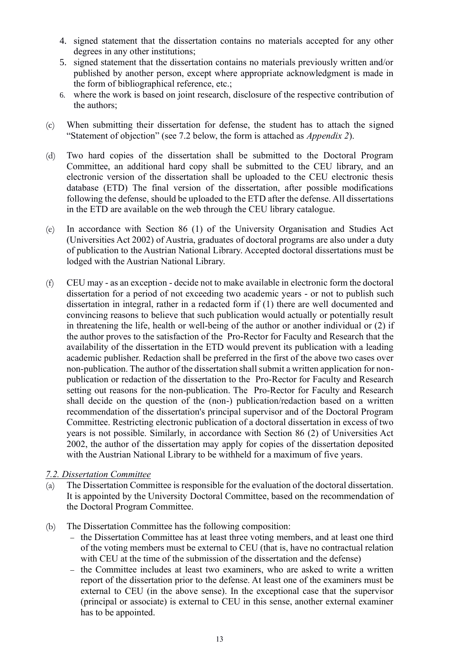- 4. signed statement that the dissertation contains no materials accepted for any other degrees in any other institutions;
- 5. signed statement that the dissertation contains no materials previously written and/or published by another person, except where appropriate acknowledgment is made in the form of bibliographical reference, etc.;
- 6. where the work is based on joint research, disclosure of the respective contribution of the authors;
- (c) When submitting their dissertation for defense, the student has to attach the signed "Statement of objection" (see 7.2 below, the form is attached as *Appendix 2*).
- (d) Two hard copies of the dissertation shall be submitted to the Doctoral Program Committee, an additional hard copy shall be submitted to the CEU library, and an electronic version of the dissertation shall be uploaded to the CEU electronic thesis database (ETD) The final version of the dissertation, after possible modifications following the defense, should be uploaded to the ETD after the defense. All dissertations in the ETD are available on the web through the CEU library catalogue.
- (e) In accordance with Section 86 (1) of the University Organisation and Studies Act (Universities Act 2002) of Austria, graduates of doctoral programs are also under a duty of publication to the Austrian National Library. Accepted doctoral dissertations must be lodged with the Austrian National Library.
- (f) CEU may as an exception decide not to make available in electronic form the doctoral dissertation for a period of not exceeding two academic years - or not to publish such dissertation in integral, rather in a redacted form if (1) there are well documented and convincing reasons to believe that such publication would actually or potentially result in threatening the life, health or well-being of the author or another individual or (2) if the author proves to the satisfaction of the Pro-Rector for Faculty and Research that the availability of the dissertation in the ETD would prevent its publication with a leading academic publisher. Redaction shall be preferred in the first of the above two cases over non-publication. The author of the dissertation shall submit a written application for nonpublication or redaction of the dissertation to the Pro-Rector for Faculty and Research setting out reasons for the non-publication. The Pro-Rector for Faculty and Research shall decide on the question of the (non-) publication/redaction based on a written recommendation of the dissertation's principal supervisor and of the Doctoral Program Committee. Restricting electronic publication of a doctoral dissertation in excess of two years is not possible. Similarly, in accordance with Section 86 (2) of Universities Act 2002, the author of the dissertation may apply for copies of the dissertation deposited with the Austrian National Library to be withheld for a maximum of five years.

#### <span id="page-12-0"></span>*7.2. Dissertation Committee*

- (a) The Dissertation Committee is responsible for the evaluation of the doctoral dissertation. It is appointed by the University Doctoral Committee, based on the recommendation of the Doctoral Program Committee.
- (b) The Dissertation Committee has the following composition:
	- − the Dissertation Committee has at least three voting members, and at least one third of the voting members must be external to CEU (that is, have no contractual relation with CEU at the time of the submission of the dissertation and the defense)
	- the Committee includes at least two examiners, who are asked to write a written report of the dissertation prior to the defense. At least one of the examiners must be external to CEU (in the above sense). In the exceptional case that the supervisor (principal or associate) is external to CEU in this sense, another external examiner has to be appointed.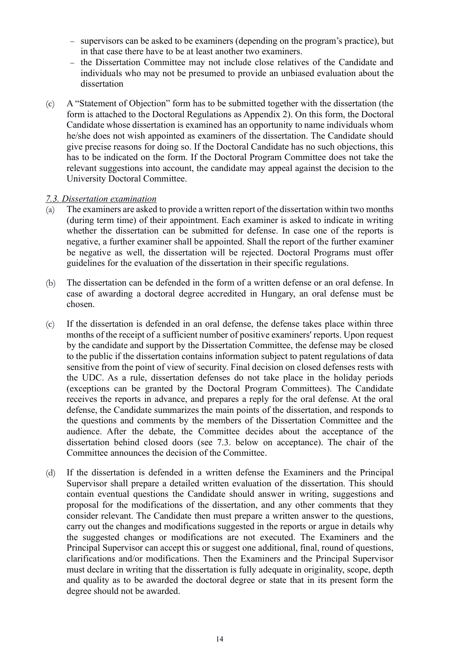- − supervisors can be asked to be examiners (depending on the program's practice), but in that case there have to be at least another two examiners.
- − the Dissertation Committee may not include close relatives of the Candidate and individuals who may not be presumed to provide an unbiased evaluation about the dissertation
- (c) A "Statement of Objection" form has to be submitted together with the dissertation (the form is attached to the Doctoral Regulations as Appendix 2). On this form, the Doctoral Candidate whose dissertation is examined has an opportunity to name individuals whom he/she does not wish appointed as examiners of the dissertation. The Candidate should give precise reasons for doing so. If the Doctoral Candidate has no such objections, this has to be indicated on the form. If the Doctoral Program Committee does not take the relevant suggestions into account, the candidate may appeal against the decision to the University Doctoral Committee.

#### <span id="page-13-0"></span>*7.3. Dissertation examination*

- (a) The examiners are asked to provide a written report of the dissertation within two months (during term time) of their appointment. Each examiner is asked to indicate in writing whether the dissertation can be submitted for defense. In case one of the reports is negative, a further examiner shall be appointed. Shall the report of the further examiner be negative as well, the dissertation will be rejected. Doctoral Programs must offer guidelines for the evaluation of the dissertation in their specific regulations.
- (b) The dissertation can be defended in the form of a written defense or an oral defense. In case of awarding a doctoral degree accredited in Hungary, an oral defense must be chosen.
- (c) If the dissertation is defended in an oral defense, the defense takes place within three months of the receipt of a sufficient number of positive examiners' reports. Upon request by the candidate and support by the Dissertation Committee, the defense may be closed to the public if the dissertation contains information subject to patent regulations of data sensitive from the point of view of security. Final decision on closed defenses rests with the UDC. As a rule, dissertation defenses do not take place in the holiday periods (exceptions can be granted by the Doctoral Program Committees). The Candidate receives the reports in advance, and prepares a reply for the oral defense. At the oral defense, the Candidate summarizes the main points of the dissertation, and responds to the questions and comments by the members of the Dissertation Committee and the audience. After the debate, the Committee decides about the acceptance of the dissertation behind closed doors (see 7.3. below on acceptance). The chair of the Committee announces the decision of the Committee.
- (d) If the dissertation is defended in a written defense the Examiners and the Principal Supervisor shall prepare a detailed written evaluation of the dissertation. This should contain eventual questions the Candidate should answer in writing, suggestions and proposal for the modifications of the dissertation, and any other comments that they consider relevant. The Candidate then must prepare a written answer to the questions, carry out the changes and modifications suggested in the reports or argue in details why the suggested changes or modifications are not executed. The Examiners and the Principal Supervisor can accept this or suggest one additional, final, round of questions, clarifications and/or modifications. Then the Examiners and the Principal Supervisor must declare in writing that the dissertation is fully adequate in originality, scope, depth and quality as to be awarded the doctoral degree or state that in its present form the degree should not be awarded.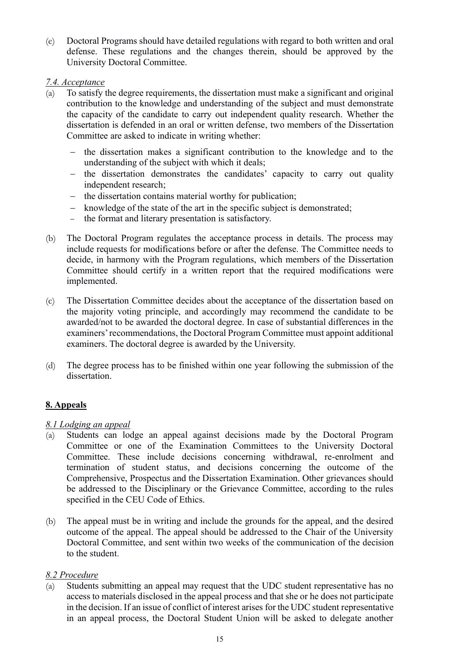(e) Doctoral Programs should have detailed regulations with regard to both written and oral defense. These regulations and the changes therein, should be approved by the University Doctoral Committee.

#### <span id="page-14-0"></span>*7.4. Acceptance*

- (a) To satisfy the degree requirements, the dissertation must make a significant and original contribution to the knowledge and understanding of the subject and must demonstrate the capacity of the candidate to carry out independent quality research. Whether the dissertation is defended in an oral or written defense, two members of the Dissertation Committee are asked to indicate in writing whether:
	- − the dissertation makes a significant contribution to the knowledge and to the understanding of the subject with which it deals;
	- − the dissertation demonstrates the candidates' capacity to carry out quality independent research;
	- − the dissertation contains material worthy for publication;
	- − knowledge of the state of the art in the specific subject is demonstrated;
	- − the format and literary presentation is satisfactory.
- (b) The Doctoral Program regulates the acceptance process in details. The process may include requests for modifications before or after the defense. The Committee needs to decide, in harmony with the Program regulations, which members of the Dissertation Committee should certify in a written report that the required modifications were implemented.
- (c) The Dissertation Committee decides about the acceptance of the dissertation based on the majority voting principle, and accordingly may recommend the candidate to be awarded/not to be awarded the doctoral degree. In case of substantial differences in the examiners' recommendations, the Doctoral Program Committee must appoint additional examiners. The doctoral degree is awarded by the University.
- (d) The degree process has to be finished within one year following the submission of the dissertation.

#### <span id="page-14-1"></span>**8. Appeals**

#### <span id="page-14-2"></span>*8.1 Lodging an appeal*

- (a) Students can lodge an appeal against decisions made by the Doctoral Program Committee or one of the Examination Committees to the University Doctoral Committee. These include decisions concerning withdrawal, re-enrolment and termination of student status, and decisions concerning the outcome of the Comprehensive, Prospectus and the Dissertation Examination. Other grievances should be addressed to the Disciplinary or the Grievance Committee, according to the rules specified in the CEU Code of Ethics.
- (b) The appeal must be in writing and include the grounds for the appeal, and the desired outcome of the appeal. The appeal should be addressed to the Chair of the University Doctoral Committee, and sent within two weeks of the communication of the decision to the student.

#### <span id="page-14-3"></span>*8.2 Procedure*

(a) Students submitting an appeal may request that the UDC student representative has no access to materials disclosed in the appeal process and that she or he does not participate in the decision. If an issue of conflict of interest arises for the UDC student representative in an appeal process, the Doctoral Student Union will be asked to delegate another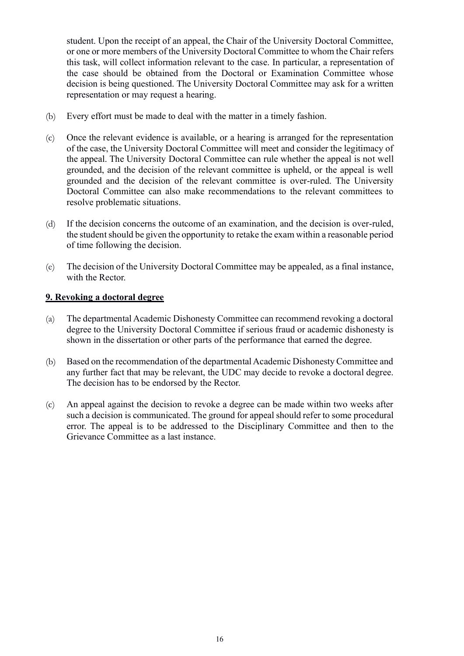student. Upon the receipt of an appeal, the Chair of the University Doctoral Committee, or one or more members of the University Doctoral Committee to whom the Chair refers this task, will collect information relevant to the case. In particular, a representation of the case should be obtained from the Doctoral or Examination Committee whose decision is being questioned. The University Doctoral Committee may ask for a written representation or may request a hearing.

- (b) Every effort must be made to deal with the matter in a timely fashion.
- (c) Once the relevant evidence is available, or a hearing is arranged for the representation of the case, the University Doctoral Committee will meet and consider the legitimacy of the appeal. The University Doctoral Committee can rule whether the appeal is not well grounded, and the decision of the relevant committee is upheld, or the appeal is well grounded and the decision of the relevant committee is over-ruled. The University Doctoral Committee can also make recommendations to the relevant committees to resolve problematic situations.
- (d) If the decision concerns the outcome of an examination, and the decision is over-ruled, the student should be given the opportunity to retake the exam within a reasonable period of time following the decision.
- (e) The decision of the University Doctoral Committee may be appealed, as a final instance, with the Rector.

#### <span id="page-15-0"></span>**9. Revoking a doctoral degree**

- (a) The departmental Academic Dishonesty Committee can recommend revoking a doctoral degree to the University Doctoral Committee if serious fraud or academic dishonesty is shown in the dissertation or other parts of the performance that earned the degree.
- (b) Based on the recommendation of the departmental Academic Dishonesty Committee and any further fact that may be relevant, the UDC may decide to revoke a doctoral degree. The decision has to be endorsed by the Rector.
- (c) An appeal against the decision to revoke a degree can be made within two weeks after such a decision is communicated. The ground for appeal should refer to some procedural error. The appeal is to be addressed to the Disciplinary Committee and then to the Grievance Committee as a last instance.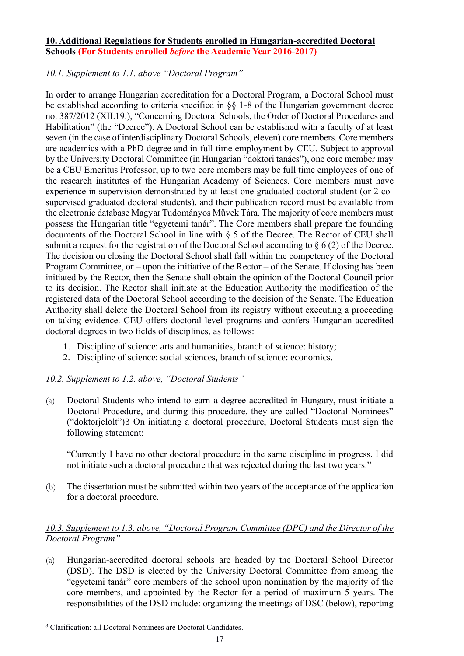#### <span id="page-16-0"></span>**10. Additional Regulations for Students enrolled in Hungarian-accredited Doctoral Schools (For Students enrolled** *before* **the Academic Year 2016-2017)**

# <span id="page-16-1"></span>*10.1. Supplement to 1.1. above "Doctoral Program"*

In order to arrange Hungarian accreditation for a Doctoral Program, a Doctoral School must be established according to criteria specified in §§ 1-8 of the Hungarian government decree no. 387/2012 (XII.19.), "Concerning Doctoral Schools, the Order of Doctoral Procedures and Habilitation" (the "Decree"). A Doctoral School can be established with a faculty of at least seven (in the case of interdisciplinary Doctoral Schools, eleven) core members. Core members are academics with a PhD degree and in full time employment by CEU. Subject to approval by the University Doctoral Committee (in Hungarian "doktori tanács"), one core member may be a CEU Emeritus Professor; up to two core members may be full time employees of one of the research institutes of the Hungarian Academy of Sciences. Core members must have experience in supervision demonstrated by at least one graduated doctoral student (or 2 cosupervised graduated doctoral students), and their publication record must be available from the electronic database Magyar Tudományos Művek Tára. The majority of core members must possess the Hungarian title "egyetemi tanár". The Core members shall prepare the founding documents of the Doctoral School in line with § 5 of the Decree. The Rector of CEU shall submit a request for the registration of the Doctoral School according to § 6 (2) of the Decree. The decision on closing the Doctoral School shall fall within the competency of the Doctoral Program Committee, or – upon the initiative of the Rector – of the Senate. If closing has been initiated by the Rector, then the Senate shall obtain the opinion of the Doctoral Council prior to its decision. The Rector shall initiate at the Education Authority the modification of the registered data of the Doctoral School according to the decision of the Senate. The Education Authority shall delete the Doctoral School from its registry without executing a proceeding on taking evidence. CEU offers doctoral-level programs and confers Hungarian-accredited doctoral degrees in two fields of disciplines, as follows:

- 1. Discipline of science: arts and humanities, branch of science: history;
- 2. Discipline of science: social sciences, branch of science: economics.

#### <span id="page-16-2"></span>*10.2. Supplement to 1.2. above, "Doctoral Students"*

(a) Doctoral Students who intend to earn a degree accredited in Hungary, must initiate a Doctoral Procedure, and during this procedure, they are called "Doctoral Nominees" ("doktorjelölt")3 On initiating a doctoral procedure, Doctoral Students must sign the following statement:

"Currently I have no other doctoral procedure in the same discipline in progress. I did not initiate such a doctoral procedure that was rejected during the last two years."

(b) The dissertation must be submitted within two years of the acceptance of the application for a doctoral procedure.

# <span id="page-16-3"></span>*10.3. Supplement to 1.3. above, "Doctoral Program Committee (DPC) and the Director of the Doctoral Program"*

(a) Hungarian-accredited doctoral schools are headed by the Doctoral School Director (DSD). The DSD is elected by the University Doctoral Committee from among the "egyetemi tanár" core members of the school upon nomination by the majority of the core members, and appointed by the Rector for a period of maximum 5 years. The responsibilities of the DSD include: organizing the meetings of DSC (below), reporting

<sup>&</sup>lt;sup>3</sup> Clarification: all Doctoral Nominees are Doctoral Candidates.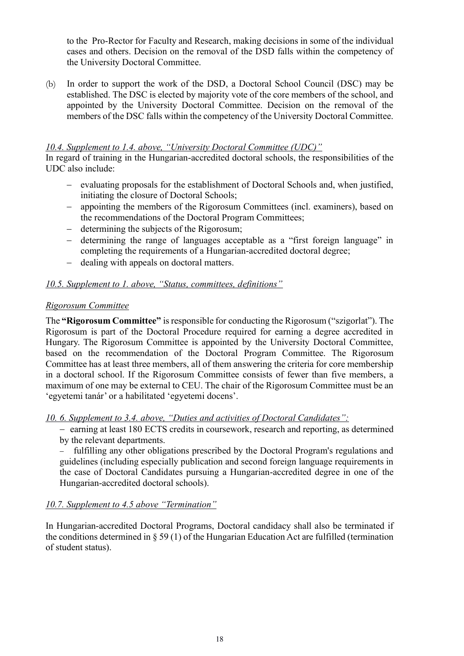to the Pro-Rector for Faculty and Research, making decisions in some of the individual cases and others. Decision on the removal of the DSD falls within the competency of the University Doctoral Committee.

(b) In order to support the work of the DSD, a Doctoral School Council (DSC) may be established. The DSC is elected by majority vote of the core members of the school, and appointed by the University Doctoral Committee. Decision on the removal of the members of the DSC falls within the competency of the University Doctoral Committee.

#### <span id="page-17-0"></span>*10.4. Supplement to 1.4. above, "University Doctoral Committee (UDC)"*

In regard of training in the Hungarian-accredited doctoral schools, the responsibilities of the UDC also include:

- − evaluating proposals for the establishment of Doctoral Schools and, when justified, initiating the closure of Doctoral Schools;
- − appointing the members of the Rigorosum Committees (incl. examiners), based on the recommendations of the Doctoral Program Committees;
- − determining the subjects of the Rigorosum;
- − determining the range of languages acceptable as a "first foreign language" in completing the requirements of a Hungarian-accredited doctoral degree;
- − dealing with appeals on doctoral matters.

#### <span id="page-17-1"></span>*10.5. Supplement to 1. above, "Status, committees, definitions"*

#### *Rigorosum Committee*

The **"Rigorosum Committee"** is responsible for conducting the Rigorosum ("szigorlat"). The Rigorosum is part of the Doctoral Procedure required for earning a degree accredited in Hungary. The Rigorosum Committee is appointed by the University Doctoral Committee, based on the recommendation of the Doctoral Program Committee. The Rigorosum Committee has at least three members, all of them answering the criteria for core membership in a doctoral school. If the Rigorosum Committee consists of fewer than five members, a maximum of one may be external to CEU. The chair of the Rigorosum Committee must be an 'egyetemi tanár' or a habilitated 'egyetemi docens'.

<span id="page-17-2"></span>*10. 6. Supplement to 3.4. above, "Duties and activities of Doctoral Candidates":*

− earning at least 180 ECTS credits in coursework, research and reporting, as determined by the relevant departments.

fulfilling any other obligations prescribed by the Doctoral Program's regulations and guidelines (including especially publication and second foreign language requirements in the case of Doctoral Candidates pursuing a Hungarian-accredited degree in one of the Hungarian-accredited doctoral schools).

#### <span id="page-17-3"></span>*10.7. Supplement to 4.5 above "Termination"*

In Hungarian-accredited Doctoral Programs, Doctoral candidacy shall also be terminated if the conditions determined in § 59 (1) of the Hungarian Education Act are fulfilled (termination of student status).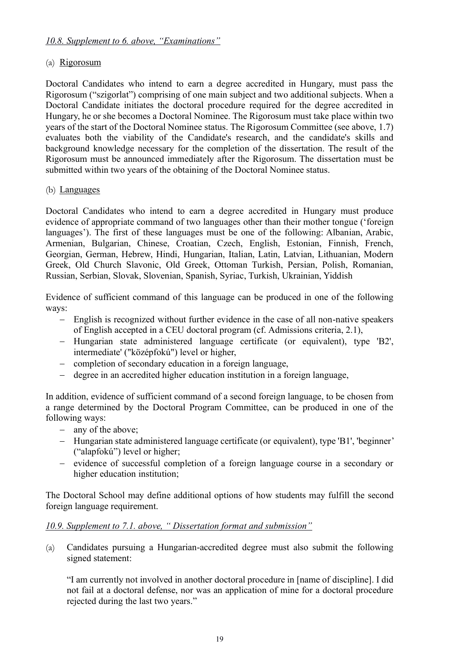#### <span id="page-18-0"></span>(a) Rigorosum

Doctoral Candidates who intend to earn a degree accredited in Hungary, must pass the Rigorosum ("szigorlat") comprising of one main subject and two additional subjects. When a Doctoral Candidate initiates the doctoral procedure required for the degree accredited in Hungary, he or she becomes a Doctoral Nominee. The Rigorosum must take place within two years of the start of the Doctoral Nominee status. The Rigorosum Committee (see above, 1.7) evaluates both the viability of the Candidate's research, and the candidate's skills and background knowledge necessary for the completion of the dissertation. The result of the Rigorosum must be announced immediately after the Rigorosum. The dissertation must be submitted within two years of the obtaining of the Doctoral Nominee status.

#### (b) Languages

Doctoral Candidates who intend to earn a degree accredited in Hungary must produce evidence of appropriate command of two languages other than their mother tongue ('foreign languages'). The first of these languages must be one of the following: Albanian, Arabic, Armenian, Bulgarian, Chinese, Croatian, Czech, English, Estonian, Finnish, French, Georgian, German, Hebrew, Hindi, Hungarian, Italian, Latin, Latvian, Lithuanian, Modern Greek, Old Church Slavonic, Old Greek, Ottoman Turkish, Persian, Polish, Romanian, Russian, Serbian, Slovak, Slovenian, Spanish, Syriac, Turkish, Ukrainian, Yiddish

Evidence of sufficient command of this language can be produced in one of the following ways:

- − English is recognized without further evidence in the case of all non-native speakers of English accepted in a CEU doctoral program (cf. Admissions criteria, 2.1),
- − Hungarian state administered language certificate (or equivalent), type 'B2', intermediate' ("középfokú") level or higher,
- − completion of secondary education in a foreign language,
- − degree in an accredited higher education institution in a foreign language,

In addition, evidence of sufficient command of a second foreign language, to be chosen from a range determined by the Doctoral Program Committee, can be produced in one of the following ways:

- − any of the above;
- − Hungarian state administered language certificate (or equivalent), type 'B1', 'beginner' ("alapfokú") level or higher;
- − evidence of successful completion of a foreign language course in a secondary or higher education institution;

The Doctoral School may define additional options of how students may fulfill the second foreign language requirement.

#### <span id="page-18-1"></span>*10.9. Supplement to 7.1. above, " Dissertation format and submission"*

(a) Candidates pursuing a Hungarian-accredited degree must also submit the following signed statement:

"I am currently not involved in another doctoral procedure in [name of discipline]. I did not fail at a doctoral defense, nor was an application of mine for a doctoral procedure rejected during the last two years."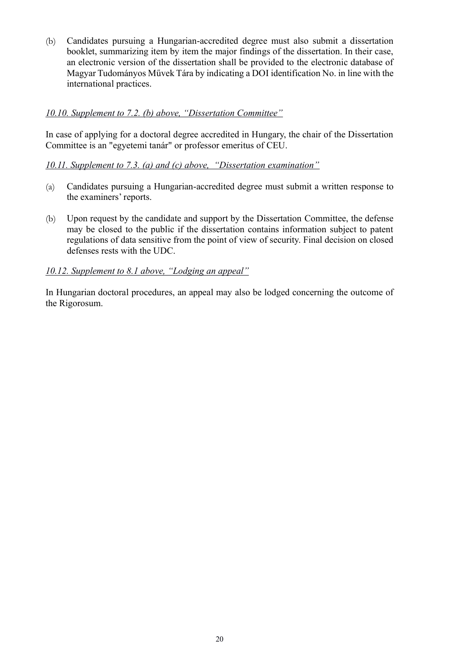(b) Candidates pursuing a Hungarian-accredited degree must also submit a dissertation booklet, summarizing item by item the major findings of the dissertation. In their case, an electronic version of the dissertation shall be provided to the electronic database of Magyar Tudományos Művek Tára by indicating a DOI identification No. in line with the international practices.

#### <span id="page-19-0"></span>*10.10. Supplement to 7.2. (b) above, "Dissertation Committee"*

In case of applying for a doctoral degree accredited in Hungary, the chair of the Dissertation Committee is an "egyetemi tanár" or professor emeritus of CEU.

#### <span id="page-19-1"></span>*10.11. Supplement to 7.3. (a) and (c) above, "Dissertation examination"*

- (a) Candidates pursuing a Hungarian-accredited degree must submit a written response to the examiners' reports.
- (b) Upon request by the candidate and support by the Dissertation Committee, the defense may be closed to the public if the dissertation contains information subject to patent regulations of data sensitive from the point of view of security. Final decision on closed defenses rests with the UDC.

#### <span id="page-19-2"></span>*10.12. Supplement to 8.1 above, "Lodging an appeal"*

In Hungarian doctoral procedures, an appeal may also be lodged concerning the outcome of the Rigorosum.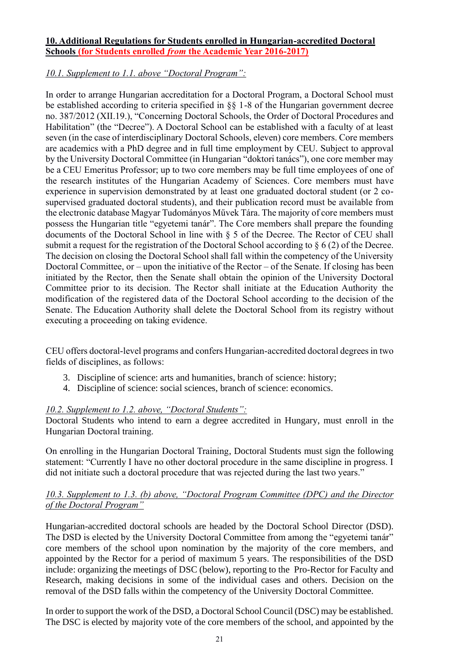#### <span id="page-20-0"></span>**10. Additional Regulations for Students enrolled in Hungarian-accredited Doctoral Schools (for Students enrolled** *from* **the Academic Year 2016-2017)**

## <span id="page-20-1"></span>*10.1. Supplement to 1.1. above "Doctoral Program":*

In order to arrange Hungarian accreditation for a Doctoral Program, a Doctoral School must be established according to criteria specified in §§ 1-8 of the Hungarian government decree no. 387/2012 (XII.19.), "Concerning Doctoral Schools, the Order of Doctoral Procedures and Habilitation" (the "Decree"). A Doctoral School can be established with a faculty of at least seven (in the case of interdisciplinary Doctoral Schools, eleven) core members. Core members are academics with a PhD degree and in full time employment by CEU. Subject to approval by the University Doctoral Committee (in Hungarian "doktori tanács"), one core member may be a CEU Emeritus Professor; up to two core members may be full time employees of one of the research institutes of the Hungarian Academy of Sciences. Core members must have experience in supervision demonstrated by at least one graduated doctoral student (or 2 cosupervised graduated doctoral students), and their publication record must be available from the electronic database Magyar Tudományos Művek Tára. The majority of core members must possess the Hungarian title "egyetemi tanár". The Core members shall prepare the founding documents of the Doctoral School in line with § 5 of the Decree. The Rector of CEU shall submit a request for the registration of the Doctoral School according to § 6 (2) of the Decree. The decision on closing the Doctoral School shall fall within the competency of the University Doctoral Committee, or – upon the initiative of the Rector – of the Senate. If closing has been initiated by the Rector, then the Senate shall obtain the opinion of the University Doctoral Committee prior to its decision. The Rector shall initiate at the Education Authority the modification of the registered data of the Doctoral School according to the decision of the Senate. The Education Authority shall delete the Doctoral School from its registry without executing a proceeding on taking evidence.

CEU offers doctoral-level programs and confers Hungarian-accredited doctoral degrees in two fields of disciplines, as follows:

- 3. Discipline of science: arts and humanities, branch of science: history;
- 4. Discipline of science: social sciences, branch of science: economics.

#### <span id="page-20-2"></span>*10.2. Supplement to 1.2. above, "Doctoral Students":*

Doctoral Students who intend to earn a degree accredited in Hungary, must enroll in the Hungarian Doctoral training.

On enrolling in the Hungarian Doctoral Training, Doctoral Students must sign the following statement: "Currently I have no other doctoral procedure in the same discipline in progress. I did not initiate such a doctoral procedure that was rejected during the last two years."

#### <span id="page-20-3"></span>*10.3. Supplement to 1.3. (b) above, "Doctoral Program Committee (DPC) and the Director of the Doctoral Program"*

Hungarian-accredited doctoral schools are headed by the Doctoral School Director (DSD). The DSD is elected by the University Doctoral Committee from among the "egyetemi tanár" core members of the school upon nomination by the majority of the core members, and appointed by the Rector for a period of maximum 5 years. The responsibilities of the DSD include: organizing the meetings of DSC (below), reporting to the Pro-Rector for Faculty and Research, making decisions in some of the individual cases and others. Decision on the removal of the DSD falls within the competency of the University Doctoral Committee.

In order to support the work of the DSD, a Doctoral School Council (DSC) may be established. The DSC is elected by majority vote of the core members of the school, and appointed by the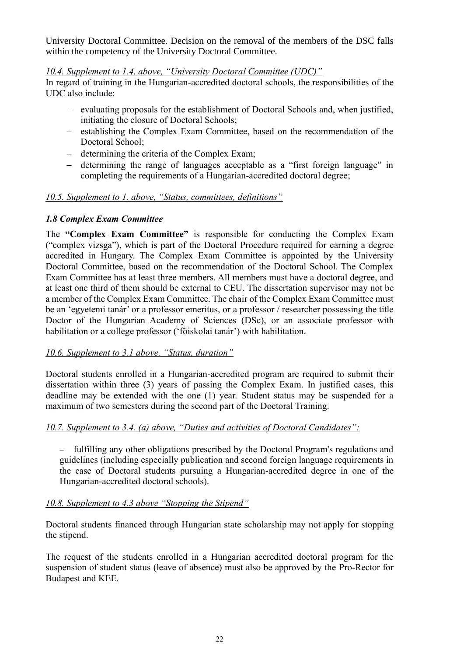University Doctoral Committee. Decision on the removal of the members of the DSC falls within the competency of the University Doctoral Committee.

#### <span id="page-21-0"></span>*10.4. Supplement to 1.4. above, "University Doctoral Committee (UDC)"*

In regard of training in the Hungarian-accredited doctoral schools, the responsibilities of the UDC also include:

- − evaluating proposals for the establishment of Doctoral Schools and, when justified, initiating the closure of Doctoral Schools;
- − establishing the Complex Exam Committee, based on the recommendation of the Doctoral School:
- − determining the criteria of the Complex Exam;
- − determining the range of languages acceptable as a "first foreign language" in completing the requirements of a Hungarian-accredited doctoral degree;

#### <span id="page-21-1"></span>*10.5. Supplement to 1. above, "Status, committees, definitions"*

#### *1.8 Complex Exam Committee*

The **"Complex Exam Committee"** is responsible for conducting the Complex Exam ("complex vizsga"), which is part of the Doctoral Procedure required for earning a degree accredited in Hungary. The Complex Exam Committee is appointed by the University Doctoral Committee, based on the recommendation of the Doctoral School. The Complex Exam Committee has at least three members. All members must have a doctoral degree, and at least one third of them should be external to CEU. The dissertation supervisor may not be a member of the Complex Exam Committee. The chair of the Complex Exam Committee must be an 'egyetemi tanár' or a professor emeritus, or a professor / researcher possessing the title Doctor of the Hungarian Academy of Sciences (DSc), or an associate professor with habilitation or a college professor ('főiskolai tanár') with habilitation.

#### <span id="page-21-2"></span>*10.6. Supplement to 3.1 above, "Status, duration"*

Doctoral students enrolled in a Hungarian-accredited program are required to submit their dissertation within three (3) years of passing the Complex Exam. In justified cases, this deadline may be extended with the one (1) year. Student status may be suspended for a maximum of two semesters during the second part of the Doctoral Training.

#### <span id="page-21-3"></span>*10.7. Supplement to 3.4. (a) above, "Duties and activities of Doctoral Candidates":*

fulfilling any other obligations prescribed by the Doctoral Program's regulations and guidelines (including especially publication and second foreign language requirements in the case of Doctoral students pursuing a Hungarian-accredited degree in one of the Hungarian-accredited doctoral schools).

#### <span id="page-21-4"></span>*10.8. Supplement to 4.3 above "Stopping the Stipend"*

Doctoral students financed through Hungarian state scholarship may not apply for stopping the stipend.

The request of the students enrolled in a Hungarian accredited doctoral program for the suspension of student status (leave of absence) must also be approved by the Pro-Rector for Budapest and KEE.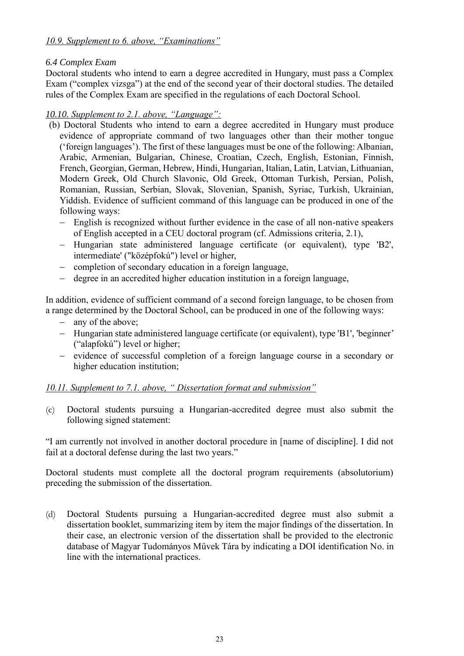#### <span id="page-22-0"></span>*10.9. Supplement to 6. above, "Examinations"*

#### *6.4 Complex Exam*

Doctoral students who intend to earn a degree accredited in Hungary, must pass a Complex Exam ("complex vizsga") at the end of the second year of their doctoral studies. The detailed rules of the Complex Exam are specified in the regulations of each Doctoral School.

#### <span id="page-22-1"></span>*10.10. Supplement to 2.1. above, "Language":*

- (b) Doctoral Students who intend to earn a degree accredited in Hungary must produce evidence of appropriate command of two languages other than their mother tongue ('foreign languages'). The first of these languages must be one of the following: Albanian, Arabic, Armenian, Bulgarian, Chinese, Croatian, Czech, English, Estonian, Finnish, French, Georgian, German, Hebrew, Hindi, Hungarian, Italian, Latin, Latvian, Lithuanian, Modern Greek, Old Church Slavonic, Old Greek, Ottoman Turkish, Persian, Polish, Romanian, Russian, Serbian, Slovak, Slovenian, Spanish, Syriac, Turkish, Ukrainian, Yiddish. Evidence of sufficient command of this language can be produced in one of the following ways:
	- − English is recognized without further evidence in the case of all non-native speakers of English accepted in a CEU doctoral program (cf. Admissions criteria, 2.1),
	- − Hungarian state administered language certificate (or equivalent), type 'B2', intermediate' ("középfokú") level or higher,
	- − completion of secondary education in a foreign language,
	- − degree in an accredited higher education institution in a foreign language,

In addition, evidence of sufficient command of a second foreign language, to be chosen from a range determined by the Doctoral School, can be produced in one of the following ways:

- − any of the above;
- − Hungarian state administered language certificate (or equivalent), type 'B1', 'beginner' ("alapfokú") level or higher;
- − evidence of successful completion of a foreign language course in a secondary or higher education institution;

#### <span id="page-22-2"></span>*10.11. Supplement to 7.1. above, " Dissertation format and submission"*

(c) Doctoral students pursuing a Hungarian-accredited degree must also submit the following signed statement:

"I am currently not involved in another doctoral procedure in [name of discipline]. I did not fail at a doctoral defense during the last two years."

Doctoral students must complete all the doctoral program requirements (absolutorium) preceding the submission of the dissertation.

(d) Doctoral Students pursuing a Hungarian-accredited degree must also submit a dissertation booklet, summarizing item by item the major findings of the dissertation. In their case, an electronic version of the dissertation shall be provided to the electronic database of Magyar Tudományos Művek Tára by indicating a DOI identification No. in line with the international practices.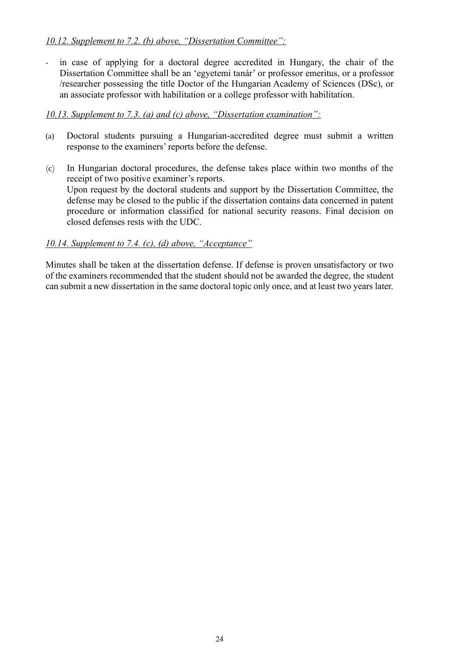#### <span id="page-23-0"></span>*10.12. Supplement to 7.2. (b) above, "Dissertation Committee":*

- in case of applying for a doctoral degree accredited in Hungary, the chair of the Dissertation Committee shall be an 'egyetemi tanár' or professor emeritus, or a professor /researcher possessing the title Doctor of the Hungarian Academy of Sciences (DSc), or an associate professor with habilitation or a college professor with habilitation.

#### <span id="page-23-1"></span>*10.13. Supplement to 7.3. (a) and (c) above, "Dissertation examination":*

- (a) Doctoral students pursuing a Hungarian-accredited degree must submit a written response to the examiners' reports before the defense.
- (c) In Hungarian doctoral procedures, the defense takes place within two months of the receipt of two positive examiner's reports. Upon request by the doctoral students and support by the Dissertation Committee, the defense may be closed to the public if the dissertation contains data concerned in patent procedure or information classified for national security reasons. Final decision on closed defenses rests with the UDC.

#### <span id="page-23-2"></span>*10.14. Supplement to 7.4. (c), (d) above, "Acceptance"*

Minutes shall be taken at the dissertation defense. If defense is proven unsatisfactory or two of the examiners recommended that the student should not be awarded the degree, the student can submit a new dissertation in the same doctoral topic only once, and at least two years later.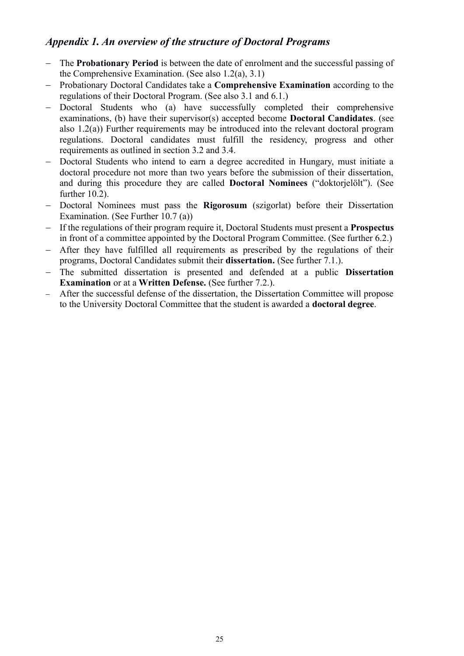# <span id="page-24-0"></span>*Appendix 1. An overview of the structure of Doctoral Programs*

- − The **Probationary Period** is between the date of enrolment and the successful passing of the Comprehensive Examination. (See also 1.2(a), 3.1)
- − Probationary Doctoral Candidates take a **Comprehensive Examination** according to the regulations of their Doctoral Program. (See also 3.1 and 6.1.)
- − Doctoral Students who (a) have successfully completed their comprehensive examinations, (b) have their supervisor(s) accepted become **Doctoral Candidates**. (see also 1.2(a)) Further requirements may be introduced into the relevant doctoral program regulations. Doctoral candidates must fulfill the residency, progress and other requirements as outlined in section 3.2 and 3.4.
- − Doctoral Students who intend to earn a degree accredited in Hungary, must initiate a doctoral procedure not more than two years before the submission of their dissertation, and during this procedure they are called **Doctoral Nominees** ("doktorjelölt"). (See further 10.2).
- − Doctoral Nominees must pass the **Rigorosum** (szigorlat) before their Dissertation Examination. (See Further 10.7 (a))
- − If the regulations of their program require it, Doctoral Students must present a **Prospectus** in front of a committee appointed by the Doctoral Program Committee. (See further 6.2.)
- − After they have fulfilled all requirements as prescribed by the regulations of their programs, Doctoral Candidates submit their **dissertation.** (See further 7.1.).
- The submitted dissertation is presented and defended at a public **Dissertation Examination** or at a **Written Defense.** (See further 7.2.).
- − After the successful defense of the dissertation, the Dissertation Committee will propose to the University Doctoral Committee that the student is awarded a **doctoral degree**.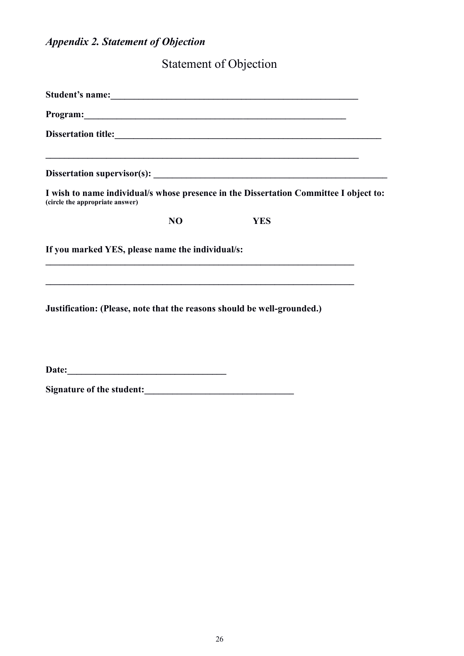# <span id="page-25-0"></span>*Appendix 2. Statement of Objection*

Statement of Objection

| Student's name: Note of the same state of the state of the state of the state of the state of the state of the state of the state of the state of the state of the state of the state of the state of the state of the state o |  |  |  |
|--------------------------------------------------------------------------------------------------------------------------------------------------------------------------------------------------------------------------------|--|--|--|
| Program: No. 2016. The Contract of the Contract of the Contract of the Contract of the Contract of the Contract of the Contract of the Contract of the Contract of the Contract of the Contract of the Contract of the Contrac |  |  |  |
|                                                                                                                                                                                                                                |  |  |  |
|                                                                                                                                                                                                                                |  |  |  |
| I wish to name individual/s whose presence in the Dissertation Committee I object to:<br>(circle the appropriate answer)                                                                                                       |  |  |  |
| N <sub>O</sub><br><b>YES</b>                                                                                                                                                                                                   |  |  |  |
| If you marked YES, please name the individual/s:                                                                                                                                                                               |  |  |  |
| Justification: (Please, note that the reasons should be well-grounded.)                                                                                                                                                        |  |  |  |
|                                                                                                                                                                                                                                |  |  |  |

**Date:\_\_\_\_\_\_\_\_\_\_\_\_\_\_\_\_\_\_\_\_\_\_\_\_\_\_\_\_\_\_\_\_\_\_**

**Signature of the student:\_\_\_\_\_\_\_\_\_\_\_\_\_\_\_\_\_\_\_\_\_\_\_\_\_\_\_\_\_\_\_\_**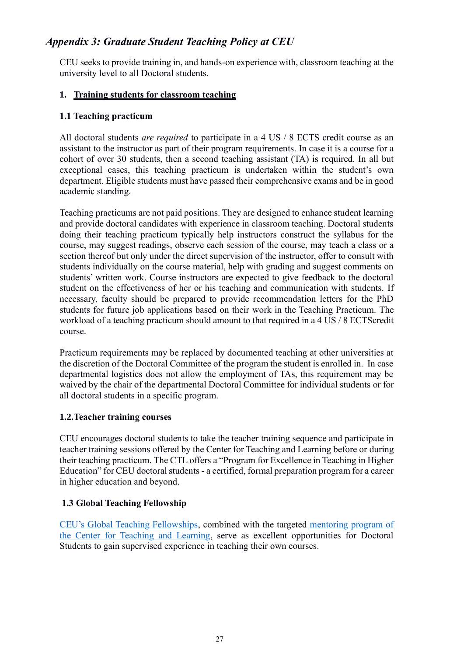# <span id="page-26-0"></span>*Appendix 3: Graduate Student Teaching Policy at CEU*

CEU seeks to provide training in, and hands-on experience with, classroom teaching at the university level to all Doctoral students.

#### **1. Training students for classroom teaching**

#### **1.1 Teaching practicum**

All doctoral students *are required* to participate in a 4 US / 8 ECTS credit course as an assistant to the instructor as part of their program requirements. In case it is a course for a cohort of over 30 students, then a second teaching assistant (TA) is required. In all but exceptional cases, this teaching practicum is undertaken within the student's own department. Eligible students must have passed their comprehensive exams and be in good academic standing.

Teaching practicums are not paid positions. They are designed to enhance student learning and provide doctoral candidates with experience in classroom teaching. Doctoral students doing their teaching practicum typically help instructors construct the syllabus for the course, may suggest readings, observe each session of the course, may teach a class or a section thereof but only under the direct supervision of the instructor, offer to consult with students individually on the course material, help with grading and suggest comments on students' written work. Course instructors are expected to give feedback to the doctoral student on the effectiveness of her or his teaching and communication with students. If necessary, faculty should be prepared to provide recommendation letters for the PhD students for future job applications based on their work in the Teaching Practicum. The workload of a teaching practicum should amount to that required in a 4 US / 8 ECTScredit course.

Practicum requirements may be replaced by documented teaching at other universities at the discretion of the Doctoral Committee of the program the student is enrolled in. In case departmental logistics does not allow the employment of TAs, this requirement may be waived by the chair of the departmental Doctoral Committee for individual students or for all doctoral students in a specific program.

#### **1.2.Teacher training courses**

CEU encourages doctoral students to take the teacher training sequence and participate in teacher training sessions offered by the Center for Teaching and Learning before or during their teaching practicum. The CTL offers a "Program for Excellence in Teaching in Higher Education" for CEU doctoral students - a certified, formal preparation program for a career in higher education and beyond.

#### **1.3 Global Teaching Fellowship**

[CEU's Global Teaching Fellowships,](https://acro.ceu.edu/ceu-global-teaching-fellowship-program) combined with the targeted [mentoring program of](https://ctl.ceu.edu/ctl-mentoring-program-global-teaching-fellows)  [the Center for Teaching and Learning,](https://ctl.ceu.edu/ctl-mentoring-program-global-teaching-fellows) serve as excellent opportunities for Doctoral Students to gain supervised experience in teaching their own courses.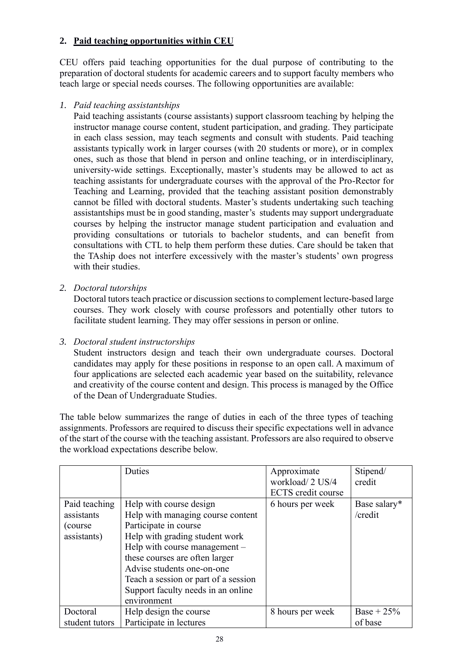# **2. Paid teaching opportunities within CEU**

CEU offers paid teaching opportunities for the dual purpose of contributing to the preparation of doctoral students for academic careers and to support faculty members who teach large or special needs courses. The following opportunities are available:

#### *1. Paid teaching assistantships*

Paid teaching assistants (course assistants) support classroom teaching by helping the instructor manage course content, student participation, and grading. They participate in each class session, may teach segments and consult with students. Paid teaching assistants typically work in larger courses (with 20 students or more), or in complex ones, such as those that blend in person and online teaching, or in interdisciplinary, university-wide settings. Exceptionally, master's students may be allowed to act as teaching assistants for undergraduate courses with the approval of the Pro-Rector for Teaching and Learning, provided that the teaching assistant position demonstrably cannot be filled with doctoral students. Master's students undertaking such teaching assistantships must be in good standing, master's students may support undergraduate courses by helping the instructor manage student participation and evaluation and providing consultations or tutorials to bachelor students, and can benefit from consultations with CTL to help them perform these duties. Care should be taken that the TAship does not interfere excessively with the master's students' own progress with their studies.

*2. Doctoral tutorships*

Doctoral tutors teach practice or discussion sections to complement lecture-based large courses. They work closely with course professors and potentially other tutors to facilitate student learning. They may offer sessions in person or online.

#### *3. Doctoral student instructorships*

Student instructors design and teach their own undergraduate courses. Doctoral candidates may apply for these positions in response to an open call. A maximum of four applications are selected each academic year based on the suitability, relevance and creativity of the course content and design. This process is managed by the Office of the Dean of Undergraduate Studies.

The table below summarizes the range of duties in each of the three types of teaching assignments. Professors are required to discuss their specific expectations well in advance of the start of the course with the teaching assistant. Professors are also required to observe the workload expectations describe below.

|                | Duties                               | Approximate<br>workload/2 US/4<br><b>ECTS</b> credit course | Stipend/<br>credit |
|----------------|--------------------------------------|-------------------------------------------------------------|--------------------|
| Paid teaching  | Help with course design              | 6 hours per week                                            | Base salary*       |
| assistants     | Help with managing course content    |                                                             | /credit            |
| (course)       | Participate in course                |                                                             |                    |
| assistants)    | Help with grading student work       |                                                             |                    |
|                | Help with course management –        |                                                             |                    |
|                | these courses are often larger       |                                                             |                    |
|                | Advise students one-on-one           |                                                             |                    |
|                | Teach a session or part of a session |                                                             |                    |
|                | Support faculty needs in an online   |                                                             |                    |
|                | environment                          |                                                             |                    |
| Doctoral       | Help design the course               | 8 hours per week                                            | Base + $25%$       |
| student tutors | Participate in lectures              |                                                             | of base            |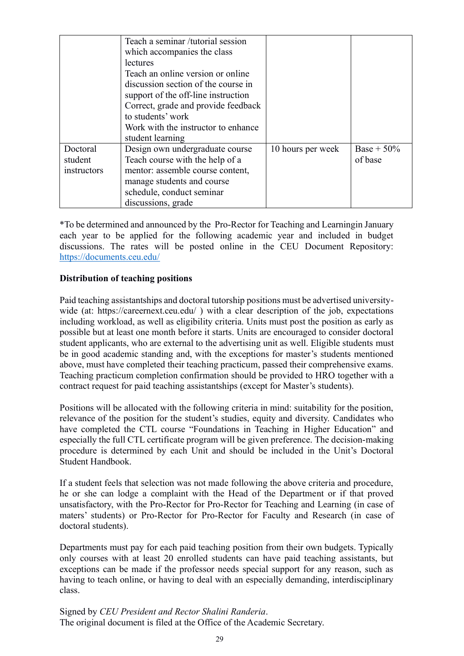|             | Teach a seminar /tutorial session   |                   |               |
|-------------|-------------------------------------|-------------------|---------------|
|             | which accompanies the class         |                   |               |
|             | <i>lectures</i>                     |                   |               |
|             | Teach an online version or online   |                   |               |
|             | discussion section of the course in |                   |               |
|             | support of the off-line instruction |                   |               |
|             | Correct, grade and provide feedback |                   |               |
|             | to students' work                   |                   |               |
|             | Work with the instructor to enhance |                   |               |
|             | student learning                    |                   |               |
| Doctoral    | Design own undergraduate course     | 10 hours per week | Base + $50\%$ |
| student     | Teach course with the help of a     |                   | of base       |
| instructors | mentor: assemble course content,    |                   |               |
|             | manage students and course          |                   |               |
|             | schedule, conduct seminar           |                   |               |
|             | discussions, grade                  |                   |               |

\*To be determined and announced by the Pro-Rector for Teaching and Learningin January each year to be applied for the following academic year and included in budget discussions. The rates will be posted online in the CEU Document Repository: <https://documents.ceu.edu/>

#### **Distribution of teaching positions**

Paid teaching assistantships and doctoral tutorship positions must be advertised universitywide (at: https://careernext.ceu.edu/) with a clear description of the job, expectations including workload, as well as eligibility criteria. Units must post the position as early as possible but at least one month before it starts. Units are encouraged to consider doctoral student applicants, who are external to the advertising unit as well. Eligible students must be in good academic standing and, with the exceptions for master's students mentioned above, must have completed their teaching practicum, passed their comprehensive exams. Teaching practicum completion confirmation should be provided to HRO together with a contract request for paid teaching assistantships (except for Master's students).

Positions will be allocated with the following criteria in mind: suitability for the position, relevance of the position for the student's studies, equity and diversity. Candidates who have completed the CTL course "Foundations in Teaching in Higher Education" and especially the full CTL certificate program will be given preference. The decision-making procedure is determined by each Unit and should be included in the Unit's Doctoral Student Handbook.

If a student feels that selection was not made following the above criteria and procedure, he or she can lodge a complaint with the Head of the Department or if that proved unsatisfactory, with the Pro-Rector for Pro-Rector for Teaching and Learning (in case of maters' students) or Pro-Rector for Pro-Rector for Faculty and Research (in case of doctoral students).

Departments must pay for each paid teaching position from their own budgets. Typically only courses with at least 20 enrolled students can have paid teaching assistants, but exceptions can be made if the professor needs special support for any reason, such as having to teach online, or having to deal with an especially demanding, interdisciplinary class.

Signed by *CEU President and Rector Shalini Randeria*. The original document is filed at the Office of the Academic Secretary.